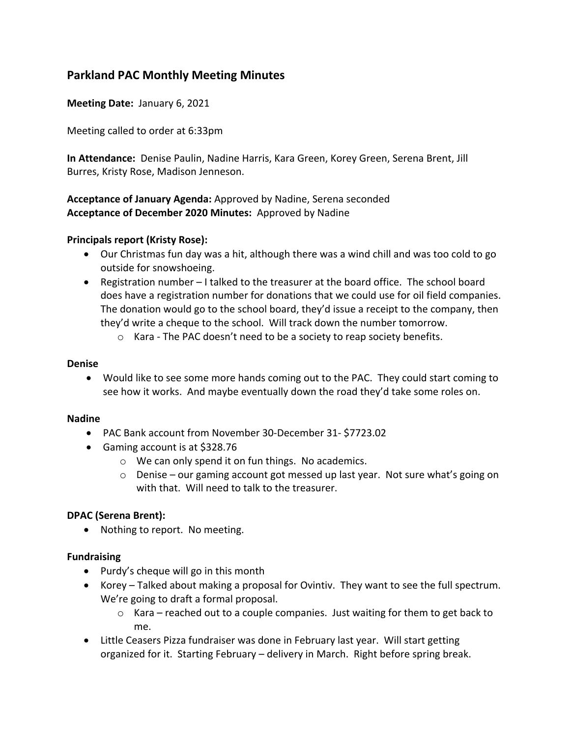# **Parkland PAC Monthly Meeting Minutes**

**Meeting Date:** January 6, 2021

Meeting called to order at 6:33pm

**In Attendance:** Denise Paulin, Nadine Harris, Kara Green, Korey Green, Serena Brent, Jill Burres, Kristy Rose, Madison Jenneson.

## **Acceptance of January Agenda:** Approved by Nadine, Serena seconded **Acceptance of December 2020 Minutes:** Approved by Nadine

## **Principals report (Kristy Rose):**

- Our Christmas fun day was a hit, although there was a wind chill and was too cold to go outside for snowshoeing.
- Registration number I talked to the treasurer at the board office. The school board does have a registration number for donations that we could use for oil field companies. The donation would go to the school board, they'd issue a receipt to the company, then they'd write a cheque to the school. Will track down the number tomorrow.
	- $\circ$  Kara The PAC doesn't need to be a society to reap society benefits.

#### **Denise**

• Would like to see some more hands coming out to the PAC. They could start coming to see how it works. And maybe eventually down the road they'd take some roles on.

#### **Nadine**

- PAC Bank account from November 30-December 31- \$7723.02
- Gaming account is at \$328.76
	- o We can only spend it on fun things. No academics.
	- o Denise our gaming account got messed up last year. Not sure what's going on with that. Will need to talk to the treasurer.

#### **DPAC (Serena Brent):**

• Nothing to report. No meeting.

#### **Fundraising**

- Purdy's cheque will go in this month
- Korey Talked about making a proposal for Ovintiv. They want to see the full spectrum. We're going to draft a formal proposal.
	- $\circ$  Kara reached out to a couple companies. Just waiting for them to get back to me.
- Little Ceasers Pizza fundraiser was done in February last year. Will start getting organized for it. Starting February – delivery in March. Right before spring break.